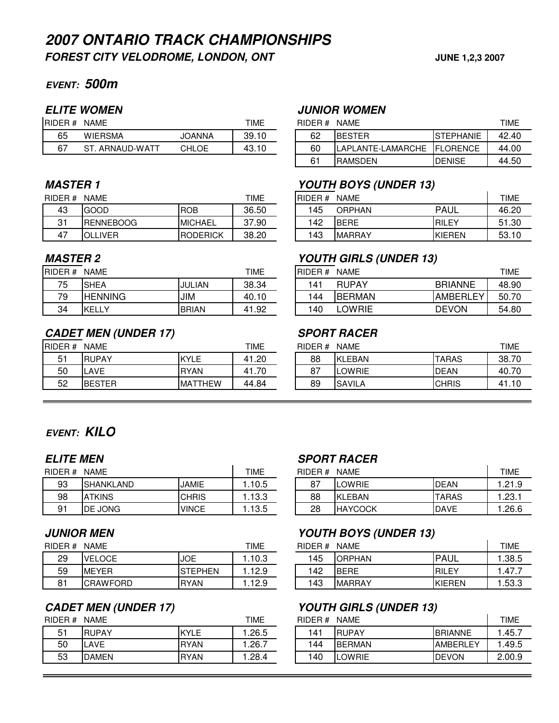## **EVENT: 500m**

| RIDER# | <b>NAME</b>    | TIME          | RIDER# | TIME<br><b>NAME</b> |                        |                        |       |
|--------|----------------|---------------|--------|---------------------|------------------------|------------------------|-------|
| 65     | <b>WIERSMA</b> | <b>JOANNA</b> | 39.10  | 62                  | IBESTER                | <b>ISTEPHANIE</b>      | 42.40 |
| 67     | . ARNAUD-WATT  | CHL<br>.OE    | 43.10  | 60                  | LAMARCHE<br>LAPLANTE-L | IEL.<br><b>LORENCE</b> | 44.00 |

| RIDER#   | <b>NAME</b>      |                 | TIME  | RIDER# | <b>NAME</b>   |  |        | <b>TIME</b> |
|----------|------------------|-----------------|-------|--------|---------------|--|--------|-------------|
| 43       | GOOD             | <b>IROB</b>     | 36.50 | 45     | <b>ORPHAN</b> |  | PAUL   | 46.20       |
| ົາ-<br>ັ | <b>RENNEBOOG</b> | <b>IMICHAEL</b> | 37.90 | 42     | <b>IBERE</b>  |  | RILEY  | 51.30       |
| 47       | <b>OLLIVER</b>   | <b>RODERICK</b> | 38.20 | 43     | <b>MARRAY</b> |  | KIEREN | 53.10       |

| RIDER# | <b>NAME</b>    |              | TIME  | <b>RIDER#</b> | <b>NAME</b>   |                 | TIME  |
|--------|----------------|--------------|-------|---------------|---------------|-----------------|-------|
| 75     | <b>SHEA</b>    | JULIAN       | 38.34 | 41،           | <b>RUPAY</b>  | <b>BRIANNE</b>  | 48.90 |
| 79     | <b>HENNING</b> | JIM          | 40.10 | 44            | <b>BERMAN</b> | <b>AMBERLEY</b> | 50.70 |
| 34     | <b>KELL</b>    | <b>BRIAN</b> | 41.92 | 40            | OWRIE         | <b>DEVON</b>    | 54.80 |

## **CADET MEN (UNDER 17) SPORT RACER**

| <b>RIDER#</b> | <b>TIME</b><br><b>NAME</b> |                |       | RIDER#<br>NAME |                |  | <b>TIME</b>  |       |  |
|---------------|----------------------------|----------------|-------|----------------|----------------|--|--------------|-------|--|
| ັັ            | <b>RUPAY</b>               | KYLE           | 41.20 | 88             | <b>KLEBAN</b>  |  | <b>TARAS</b> | 38.70 |  |
| 50            | LAVE                       | <b>RYAN</b>    | 41.70 | o-<br>o,       | <b>LOWRIE</b>  |  | <b>DEAN</b>  | 40.70 |  |
| 52            | <b>BESTER</b>              | <b>MATTHEW</b> | 44.84 | 89             | <b>ISAVILA</b> |  | <b>CHRIS</b> | 41.10 |  |

### **ELITE WOMEN JUNIOR WOMEN**

| ER# | <b>NAME</b>         |        | TIME  | RIDER# | <b>NAME</b>                  |                   | TIME  |
|-----|---------------------|--------|-------|--------|------------------------------|-------------------|-------|
| 65  | <b>WIERSMA</b>      | JOANNA | 39.10 | 62     | <b>IBESTER</b>               | <b>ISTEPHANIE</b> | 42.40 |
| 67  | ST<br>. ARNAUD-WATT | CHLOE  | 43.10 | 60     | ILAPLANTE-LAMARCHE IFLORENCE |                   | 44.00 |
|     |                     |        |       | 61     | <b>RAMSDEN</b>               | <b>IDENISE</b>    | 44.50 |

### **MASTER 1 YOUTH BOYS (UNDER 13)**

| ER# | <b>NAME</b>      |                 | TIME  | RIDER # | NAME          |              | TIME  |
|-----|------------------|-----------------|-------|---------|---------------|--------------|-------|
| 43  | <b>GOOD</b>      | <b>IROB</b>     | 36.50 | '45     | <b>ORPHAN</b> | PAUL         | 46.20 |
| 31  | <b>RENNEBOOG</b> | <b>IMICHAEL</b> | 37.90 | 142     | <b>BERE</b>   | <b>RILEY</b> | 51.30 |
| 47  | <b>OLLIVER</b>   | <b>RODERICK</b> | 38.20 | 143     | <b>MARRAY</b> | KIEREN       | 53.10 |

### **MASTER 2 YOUTH GIRLS (UNDER 13)**

| ER# | <b>NAME</b>    |              | TIME      | RIDER# | <b>NAME</b>   |                 | TIME  |
|-----|----------------|--------------|-----------|--------|---------------|-----------------|-------|
| 75  | <b>ISHEA</b>   | JULIAN       | 38.34     | 141    | <b>RUPAY</b>  | <b>BRIANNE</b>  | 48.90 |
| 79  | <b>HENNING</b> | JIM          | 40.10     | 144    | <b>BERMAN</b> | <b>AMBERLEY</b> | 50.70 |
| 34  | <b>KELLY</b>   | <b>BRIAN</b> | .92<br>41 | 140    | LOWRIE        | <b>DEVON</b>    | 54.80 |

| ER# | TIME<br><b>NAME</b> |                |       | RIDER# |               | TIME         |       |
|-----|---------------------|----------------|-------|--------|---------------|--------------|-------|
| 51  | <b>RUPAY</b>        | <b>KYLE</b>    | 41.20 | 88     | KLEBAN        | <b>TARAS</b> | 38.70 |
| 50  | .AVE                | <b>RYAN</b>    | 41.70 | 87     | LOWRIE        | <b>IDEAN</b> | 40.70 |
| 52  | <b>BESTER</b>       | <b>MATTHEW</b> | 44.84 | 89     | <b>SAVILA</b> | <b>CHRIS</b> | 41.10 |

## **EVENT: KILO**

| RIDER# | <b>NAME</b>      |              |       | TIME<br>RIDER#<br><b>NAME</b> |          |                |              |        |
|--------|------------------|--------------|-------|-------------------------------|----------|----------------|--------------|--------|
| 93     | <b>SHANKLAND</b> | JAMIE        | .10.5 |                               | o-<br>Ο. | LOWRIE         | <b>DEAN</b>  | .21.9  |
| 98     | <b>ATKINS</b>    | <b>CHRIS</b> | .13.3 |                               | 88       | <b>KLEBAN</b>  | <b>TARAS</b> | . .23. |
| 91     | DE JONG          | <b>VINCE</b> | .13.5 |                               | 28       | <b>HAYCOCK</b> | <b>DAVE</b>  | .26.   |

| RIDER # | TIME<br><b>NAME</b> |                |        | RIDER#<br>NAME |                |  |        | TIME  |
|---------|---------------------|----------------|--------|----------------|----------------|--|--------|-------|
| 29      | <b>VELOCE</b>       | <b>JOE</b>     | l.10.3 | 145            | <b>IORPHAN</b> |  | PAUL   | .38.5 |
| 59      | <b>IMEYER</b>       | <b>STEPHEN</b> | l.12.9 | 142            | <b>IBERE</b>   |  | RILEY  | .47.  |
| $\circ$ | <b>CRAWFORD</b>     | <b>RYAN</b>    | Ⅰ.12.9 | 143            | <b>MARRAY</b>  |  | KIEREN | .53.  |

| RIDER#<br><b>NAME</b> |              |             | <b>TIME</b> | RIDER# |                | <b>TIME</b>     |        |
|-----------------------|--------------|-------------|-------------|--------|----------------|-----------------|--------|
| F <sub>1</sub><br>◡   | <b>RUPAY</b> | KYLE        | .26.5       | 41     | <b>RUPAY</b>   | <b>BRIANNE</b>  | .45.   |
| 50                    | _AVE         | <b>RYAN</b> | .26.7       | 44     | <b>BERMAN</b>  | <b>AMBERLEY</b> | .49.   |
| 53                    | <b>DAMEN</b> | <b>RYAN</b> | .28.4       | 40     | <b>ILOWRIE</b> | <b>IDEVON</b>   | 2.00.9 |

### **ELITE MEN SPORT RACER**

| ER# | <b>NAME</b>       |              | TIME  | RIDER#<br><b>NAME</b> |                |              |       |  |  |
|-----|-------------------|--------------|-------|-----------------------|----------------|--------------|-------|--|--|
| 93  | <b>SHANKLAND</b>  | JAMIE        | .10.5 | 87                    | LOWRIE         | <b>DEAN</b>  | .21.9 |  |  |
| 98  | <b>TKINS</b><br>A | <b>CHRIS</b> | .13.3 | 88                    | <b>KLEBAN</b>  | <b>TARAS</b> | .23.7 |  |  |
| 91  | <b>IDE JONG</b>   | <b>VINCE</b> | .13.5 | 28                    | <b>HAYCOCK</b> | <b>IDAVE</b> | .26.6 |  |  |

### **JUNIOR MEN YOUTH BOYS (UNDER 13)**

| ER# | NAME            |             | TIME  | RIDER# | <b>NAME</b>   |               | TIME   |
|-----|-----------------|-------------|-------|--------|---------------|---------------|--------|
| 29  | <b>VELOCE</b>   | <b>JOE</b>  | .10.3 | 145    | <b>ORPHAN</b> | <b>IPAUL</b>  | .38.5  |
| 59  | <b>MEYER</b>    | ISTEPHEN    | .12.9 | 142    | <b>BERE</b>   | RILEY         | .47.7  |
| 81  | <b>CRAWFORD</b> | <b>RYAN</b> | .12.9 | 143    | <b>MARRAY</b> | <b>KIEREN</b> | 1.53.3 |

## **CADET MEN (UNDER 17) YOUTH GIRLS (UNDER 13)**

| ER# | TIME<br><b>NAME</b> |             |       | RIDER# | TIME          |                  |        |
|-----|---------------------|-------------|-------|--------|---------------|------------------|--------|
| 51  | <b>RUPAY</b>        | <b>KYLE</b> | .26.5 | 141    | <b>RUPAY</b>  | <b>BRIANNE</b>   | .45.7  |
| 50  | LAVE                | <b>RYAN</b> | .26.7 | 144    | <b>BERMAN</b> | <b>IAMBERLEY</b> | .49.5  |
| 53  | <b>DAMEN</b>        | <b>RYAN</b> | .28.4 | 140    | LOWRIE        | <b>DEVON</b>     | 2.00.9 |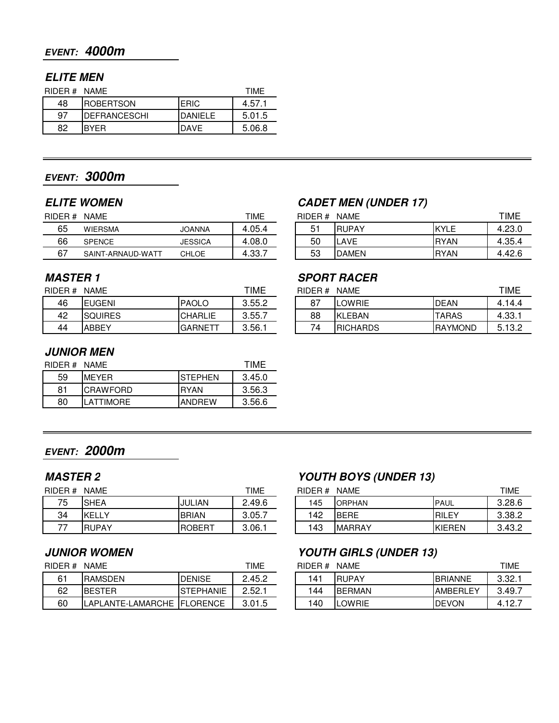## **EVENT: 4000m**

## **ELITE MEN**

| RIDER# NAME |                      | TIMF        |        |
|-------------|----------------------|-------------|--------|
| 48          | <b>ROBERTSON</b>     | <b>ERIC</b> | 4.57.1 |
| 97          | <b>IDEFRANCESCHI</b> | DANIFI F    | 5.01.5 |
| 82          | IRYFR                | <b>DAVF</b> | 5.06.8 |

## **EVENT: 3000m**

| TIME<br><b>NAME</b><br>RIDER# |                   |                |        | TIME<br><b>NAME</b><br>RIDER# |                |               |              |        |
|-------------------------------|-------------------|----------------|--------|-------------------------------|----------------|---------------|--------------|--------|
| 65                            | <b>WIERSMA</b>    | JOANNA         | 4.05.4 |                               | 5 <sup>1</sup> | <b>RUPAY</b>  | KYLE         | .23.0  |
| 66                            | <b>SPENCE</b>     | <b>JESSICA</b> | 4.08.0 |                               | 50             | _AVE          | <b>IRYAN</b> | 4.35.4 |
| 67                            | SAINT-ARNAUD-WATT | <b>CHLOE</b>   | 4.33.7 |                               | 53             | <b>IDAMEN</b> | <b>IRYAN</b> | 1.42.6 |
|                               |                   |                |        |                               |                |               |              |        |

| RIDER# | <b>NAME</b>    |                | TIME   | RIDER# | <b>NAME</b>     |                 | TIME   |
|--------|----------------|----------------|--------|--------|-----------------|-----------------|--------|
| 46     | <b>IEUGENI</b> | <b>PAOLO</b>   | 3.55.2 | 87     | LOWRIE          | <b>IDEAN</b>    | 4.14.4 |
| 42     | SQUIRES        | <b>CHARLIE</b> | 3.55.7 | 88     | KLEBAN          | <b>TARAS</b>    | 4.33.1 |
| 44     | ABBEY          | <b>GARNETT</b> | 3.56.1 | -      | <b>RICHARDS</b> | <b>IRAYMOND</b> | 5.13.2 |

## **JUNIOR MEN**

| RIDER# NAME |                  |                 | TIMF   |
|-------------|------------------|-----------------|--------|
| 59          | <b>MFYFR</b>     | <b>ISTEPHEN</b> | 3.45.0 |
| 81          | <b>CRAWFORD</b>  | IRYAN           | 3.56.3 |
| 80          | <b>LATTIMORF</b> | IANDRFW         | 3.56.6 |

## **EVENT: 2000m**

| <b>TIME</b><br>RIDER#<br><b>NAME</b> |               |                |        | <b>NAME</b><br>RIDER# |     |               |               | <b>TIME</b> |  |
|--------------------------------------|---------------|----------------|--------|-----------------------|-----|---------------|---------------|-------------|--|
| 75                                   | <b>SHEA</b>   | <b>JULIAN</b>  | 2.49.6 |                       | 145 | <b>ORPHAN</b> | <b>IPAUL</b>  | 3.28.0      |  |
| 34                                   | <b>IKELLY</b> | <b>BRIAN</b>   | 3.05.7 |                       | 42  | <b>BERE</b>   | RILEY         | 3.38.       |  |
| --                                   | <b>RUPAY</b>  | <b>IROBERT</b> | 3.06.1 |                       | 43  | <b>MARRAY</b> | <b>KIEREN</b> | 3.43.2      |  |

| RIDER# | <b>NAME</b>                  |                | TIME   | RIDER# | <b>NAME</b>    |                 | TIME   |
|--------|------------------------------|----------------|--------|--------|----------------|-----------------|--------|
| 61     | <b>RAMSDEN</b>               | <b>IDENISE</b> | 2.45.2 | 141    | <b>IRUPAY</b>  | <b>IBRIANNE</b> | 3.32.7 |
| 62     | <b>IBESTER</b>               | ISTEPHANIE     | 2.52.  | 144    | <b>IBERMAN</b> | <b>AMBERLEY</b> | 3.49.7 |
| 60     | APLANTE-LAMARCHE   FLORENCE_ |                | 3.01.5 | 140    | <b>LOWRIE</b>  | <b>IDEVON</b>   | 4.12.  |

## **ELITE WOMEN CADET MEN (UNDER 17)**

| ER# | <b>NAME</b>       |              | TIME   | RIDER# | <b>NAME</b>  |             | TIME   |
|-----|-------------------|--------------|--------|--------|--------------|-------------|--------|
| 65  | <b>WIERSMA</b>    | JOANNA       | 4.05.4 | 51     | <b>RUPAY</b> | KYLE        | 4.23.0 |
| 66  | <b>SPENCE</b>     | JESSICA      | 4.08.0 | 50     | LAVE         | <b>RYAN</b> | 4.35.4 |
| 67  | SAINT-ARNAUD-WATT | <b>CHLOE</b> | 4.33.7 | 53     | <b>DAMEN</b> | <b>RYAN</b> | 4.42.6 |

## **MASTER 1 SPORT RACER**

| ER# | TIME<br><b>NAME</b> |                 |        | RIDER# | TIME            |                |        |
|-----|---------------------|-----------------|--------|--------|-----------------|----------------|--------|
| 46  | <b>IEUGENI</b>      | <b>PAOLO</b>    | 3.55.2 | 87     | OWRIE           | <b>DEAN</b>    | 4.14.4 |
| 42  | <b>ISQUIRES</b>     | <b>CHARLIE</b>  | 3.55.7 | 88     | KLEBAN          | <b>TARAS</b>   | 4.33.  |
| 44  | <b>ABBEY</b>        | <b>IGARNETT</b> | 3.56.1 | 74     | <b>RICHARDS</b> | <b>RAYMOND</b> | 5.13.2 |

### **MASTER 2 YOUTH BOYS (UNDER 13)**

| ER# | <b>TIME</b><br><b>NAME</b> |                |        | RIDER# | <b>NAME</b>    |               | TIME   |
|-----|----------------------------|----------------|--------|--------|----------------|---------------|--------|
| 75  | <b>SHEA</b>                | <b>JULIAN</b>  | 2.49.6 | 145    | <b>ORPHAN</b>  | <b>IPAUL</b>  | 3.28.6 |
| 34  | <b>KELL</b><br>$\sim$      | <b>BRIAN</b>   | 3.05.7 | 142    | <b>BERE</b>    | <b>IRILEY</b> | 3.38.2 |
| 77  | <b>RUPAY</b>               | <b>IROBERT</b> | 3.06.1 | 143    | <b>IMARRAY</b> | KIEREN        | 3.43.2 |

### **JUNIOR WOMEN YOUTH GIRLS (UNDER 13)**

| ER # | NAME                         | TIME              | RIDER# | <b>NAME</b> |               |                 |        |
|------|------------------------------|-------------------|--------|-------------|---------------|-----------------|--------|
| 61   | <b>RAMSDEN</b>               | <b>IDENISE</b>    | 2.45.2 | 141         | <b>IRUPAY</b> | <b>IBRIANNE</b> | 3.32.7 |
| 62   | <b>IBESTER</b>               | <b>ISTEPHANIE</b> | 2.52.1 | 144         | <b>BERMAN</b> | <b>AMBERLEY</b> | 3.49.7 |
| 60   | APLANTE-LAMARCHE   FLORENCE_ |                   | 3.01.5 | 140         | LOWRIE        | <b>IDEVON</b>   | 4.12.7 |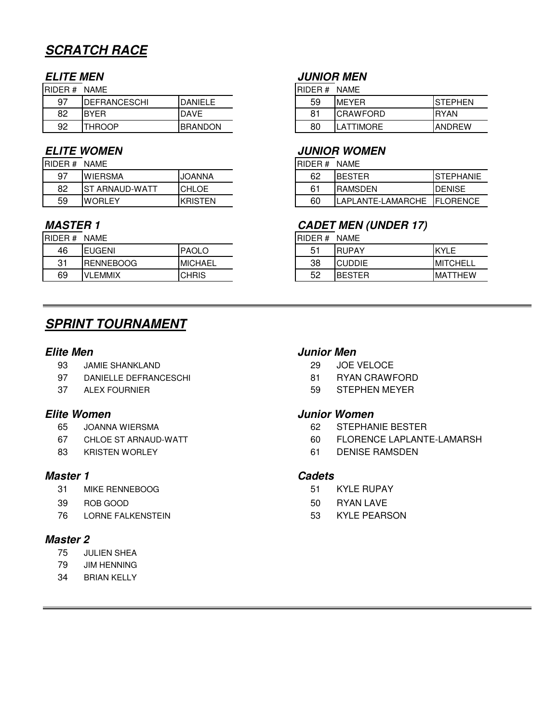# **SCRATCH RACE**

| <b>RIDER#</b> | <b>NAME</b>          |                |  | <b>RIDER#</b> | <b>NAME</b>     |               |
|---------------|----------------------|----------------|--|---------------|-----------------|---------------|
| 97            | <b>IDEFRANCESCHI</b> | <b>DANIELE</b> |  | 59            | <b>MEYER</b>    | ISTEPHEN      |
| 82            | <b>BYER</b>          | <b>DAVE</b>    |  |               | <b>CRAWFORD</b> | <b>IRYAN</b>  |
| 92            | <b>THROOP</b>        | <b>BRANDON</b> |  | 80            | LATTIMORE       | <b>ANDREW</b> |

| RIDER # | NAME                   |                | <b>IRIDER # NAME</b> |                    |                |
|---------|------------------------|----------------|----------------------|--------------------|----------------|
| 97      | <b>WIERSMA</b>         | <b>JOANNA</b>  | 62                   | <b>IBESTER</b>     | ISTEPH/        |
| 82      | <b>IST ARNAUD-WATT</b> | <b>CHLOE</b>   | 61                   | <b>IRAMSDEN</b>    | <b>DENISE</b>  |
| 59      | <b>WORLEY</b>          | <b>KRISTEN</b> | 60                   | ILAPLANTE-LAMARCHE | <b>IFLOREN</b> |

| IRIDER # | <b>NAME</b>      |                | IRIDER # | NAME           |             |
|----------|------------------|----------------|----------|----------------|-------------|
| 46       | <b>EUGENI</b>    | <b>PAOLO</b>   |          | <b>IRUPAY</b>  | <b>KYLE</b> |
| 21<br>ບ  | <b>RENNEBOOG</b> | <b>MICHAEL</b> | 38       | <b>CUDDIE</b>  | <b>MITC</b> |
| 69       | <b>VLEMMIX</b>   | <b>CHRIS</b>   | 52       | <b>IBESTER</b> | <b>MATT</b> |

## **SPRINT TOURNAMENT**

- 93 JAMIE SHANKLAND 29 JOE VELOCE
- 97 DANIELLE DEFRANCESCHI 81 RYAN CRAWFORD
- 

- 
- 
- 

### **Master 1 Cadets**

- 31 MIKE RENNEBOOG 51 KYLE RUPAY
- 
- 76 LORNE FALKENSTEIN 53 KYLE PEARSON

### **Master 2**

- 75 JULIEN SHEA
- 79 JIM HENNING
- 34 BRIAN KELLY

## **ELITE MEN JUNIOR MEN**

| ER # | <b>NAME</b>         |                 | IRIDER#<br><b>NAME</b> |    |                 |                 |
|------|---------------------|-----------------|------------------------|----|-----------------|-----------------|
| 97   | <b>DEFRANCESCHI</b> | DANIELE         |                        | 59 | <b>MEYER</b>    | <b>ISTEPHEN</b> |
| 82   | <b>BYER</b>         | <b>DAVE</b>     |                        | 81 | <b>CRAWFORD</b> | <b>RYAN</b>     |
| 92   | <b>THROOP</b>       | <b>IBRANDON</b> |                        | 80 | <b>ATTIMORF</b> | <b>LANDREW</b>  |

### **ELITE WOMEN JUNIOR WOMEN**

| ER# | <b>NAME</b>     |                | IRIDER# | <b>NAME</b> |                              |                  |
|-----|-----------------|----------------|---------|-------------|------------------------------|------------------|
| 97  | <b>WIERSMA</b>  | <b>JOANNA</b>  |         | 62          | <b>IBESTER</b>               | <b>STEPHANIE</b> |
| 82  | IST ARNAUD-WATT | <b>ICHLOE</b>  |         | 61          | <b>IRAMSDEN</b>              | <b>DENISE</b>    |
| 59  | <b>IWORLEY</b>  | <b>KRISTEN</b> |         | 60          | ILAPLANTE-LAMARCHE IFLORENCE |                  |

## **MASTER 1 CADET MEN (UNDER 17)**

RIDER # NAME

| 46 | JGENI<br>-       | <b>PAOLO</b>   | 51<br>ັ | <b>RUPAY</b>              | <b>IZVI</b> E<br>ᅩ      |
|----|------------------|----------------|---------|---------------------------|-------------------------|
| 31 | <b>RENNEBOOG</b> | <b>MICHAEL</b> | 38      | <b>CUDDIE</b>             | <b>IMITCHELL</b>        |
| 69 | .EMMIX<br>v      | <b>CHRIS</b>   | 52      | RESTER<br><b>BES</b><br>ы | `HEW<br>MA <sub>1</sub> |

### **Elite Men Junior Men**

- 
- 
- 37 ALEX FOURNIER **1999 STEPHEN MEYER**

### **Elite Women Junior Women**

- 65 JOANNA WIERSMA 62 STEPHANIE BESTER
- 67 CHLOE ST ARNAUD-WATT 60 FLORENCE LAPLANTE-LAMARSH
- 83 KRISTEN WORLEY 61 DENISE RAMSDEN

- 
- 39 ROB GOOD 60 CONTROL 200 CONTROL 200 CONTROL 200 CONTROL 4 CONTROL 200 CONTROL 200 CONTROL 200 CONTROL 200 CONTROL 200 CONTROL 200 CONTROL 200 CONTROL 200 CONTROL 200 CONTROL 200 CONTROL 200 CONTROL 200 CONTROL 200 CONTR
	-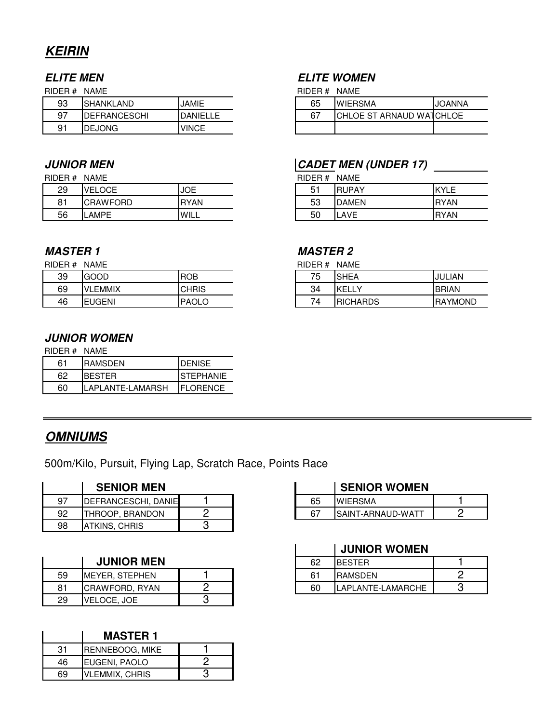# **KEIRIN**

| 93 | <b>SHANKLAND</b>    | <b>JAMIE</b>     | 65     | <b>WIERSMA</b>             | <b>JOANNA</b> |
|----|---------------------|------------------|--------|----------------------------|---------------|
| α7 | <b>DEFRANCESCHI</b> | <b>IDANIELLE</b> | $\sim$ | <b>ICHLOE ST</b><br>ARNAUD | WATCHLOE      |
| Q١ | <b>DEJONG</b>       | <b>VINCE</b>     |        |                            |               |

RIDER # NAME

| 29 | <b>ELOCE</b><br>VEI | <b>JOE</b>  | - 4<br>-<br>ັ | <b>IRUPAY</b> | <b>KYLE</b> |
|----|---------------------|-------------|---------------|---------------|-------------|
| o- | <b>CRAWFORD</b>     | <b>RYAN</b> | гο<br>ეკ      | <b>DAMEN</b>  | <b>RYAN</b> |
| 56 | LAMPE               | WILL        | 50            | LAVE          | <b>RYAN</b> |

### **MASTER 1 MASTER 2**

| RIDER#<br><b>NAME</b> |                |              | RIDER# | <b>NAME</b>     |              |
|-----------------------|----------------|--------------|--------|-----------------|--------------|
| 39                    | <b>GOOD</b>    | <b>ROB</b>   | 75     | <b>ISHEA</b>    | JULIAN       |
| 69                    | <b>VLEMMIX</b> | <b>CHRIS</b> | 34     | <b>KELLY</b>    | <b>BRIAN</b> |
| 46                    | <b>EUGENI</b>  | <b>PAOLO</b> | 74     | <b>RICHARDS</b> | <b>RAYMC</b> |

## **JUNIOR WOMEN**

| RIDER# NAME |                  |                   |
|-------------|------------------|-------------------|
| 61          | <b>RAMSDEN</b>   | <b>IDENISE</b>    |
| 62          | IBESTER          | <b>ISTEPHANIE</b> |
| 60          | LAPLANTE-LAMARSH | IFI ORFNCF        |

## **OMNIUMS**

500m/Kilo, Pursuit, Flying Lap, Scratch Race, Points Race

|       | <b>SENIOR MEN</b>           |  |     | <b>SENIOR WOMEN</b> |   |
|-------|-----------------------------|--|-----|---------------------|---|
| $Q^7$ | <b>IDEFRANCESCHI, DANIE</b> |  | 65  | <b>IWIERSMA</b>     |   |
| 92    | ITHROOP. BRANDON            |  | -67 | ISAINT-ARNAUD-WATT  | ◠ |
| 98    | IATKINS. CHRIS              |  |     |                     |   |

|    | <b>JUNIOR MEN</b> |  | 62 | <b>BESTER</b>      |   |
|----|-------------------|--|----|--------------------|---|
| 59 | IMEYER. STEPHEN   |  | 61 | <b>IRAMSDEN</b>    | ◠ |
| 81 | ICRAWFORD, RYAN   |  | 60 | ILAPLANTE-LAMARCHE |   |
| 29 | VELOCE, JOE       |  |    |                    |   |

|    | <b>MASTER 1</b>       |  |
|----|-----------------------|--|
| 31 | RENNEBOOG, MIKE       |  |
| 46 | EUGENI, PAOLO         |  |
| 69 | <b>VLEMMIX, CHRIS</b> |  |

## **ELITE MEN ELITE WOMEN**

RIDER # NAME RIDER # NAME

| 65 | <b>WIERSMA</b>           | <b>JOANNA</b> |
|----|--------------------------|---------------|
| 67 | CHLOE ST ARNAUD WATCHLOE |               |
|    |                          |               |

## **JUNIOR MEN CADET MEN** (UNDER 17)

| RIDER # NAME |              |             |
|--------------|--------------|-------------|
| 51           | <b>RUPAY</b> | KYI F       |
| 53           | <b>DAMEN</b> | <b>RYAN</b> |
| 50           | I AVF        | <b>RYAN</b> |

RIDER # NAME

| 39 | GOOD              | <b>ROB</b>   | 75<br>$\overline{\phantom{a}}$ | <b>SHEA</b>               | ∟IAN<br>IJUL   |
|----|-------------------|--------------|--------------------------------|---------------------------|----------------|
| 69 | <b>EMMIX</b><br>v | <b>CHRIS</b> | 34                             | <b>KELL</b><br>$\sqrt{ }$ | <b>BRIAN</b>   |
| 46 | <b>EUGENI</b>     | <b>PAOLO</b> | -<br>' Д                       | <b>IRICHARDS</b>          | <b>RAYMOND</b> |

### **SENIOR WOMEN**

| 65 | <b>IFRSMA</b>      |  |
|----|--------------------|--|
| c. | ISAINT-ARNAUD-WATT |  |

## **JUNIOR WOMEN**

 $\overline{1}$ 

| <b>JUNIOR MEN</b> |  | 62 | <b>BESTER</b>     |  |
|-------------------|--|----|-------------------|--|
| YER. STEPHEN      |  | G1 | <b>RAMSDEN</b>    |  |
| AWFORD. RYAN      |  | 60 | LAPLANTE-LAMARCHE |  |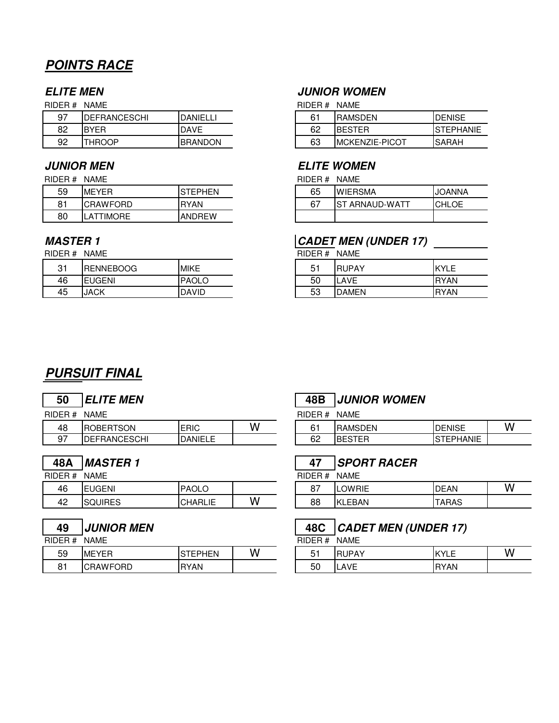# **POINTS RACE**

| RIDER# | NAMF                 |                  |
|--------|----------------------|------------------|
| 97     | <b>IDEFRANCESCHI</b> | <b>DANIFI LI</b> |
| 82     | <b>BYFR</b>          | <b>DAVF</b>      |
| 92     | THROOP               | <b>BRANDON</b>   |

### RIDER # NAME RIDER # NAME

| 59             | <b>IMEYER</b>   | <b>EPHEN</b>  | 65 | <b>WIERSMA</b>     | IJOANNA |
|----------------|-----------------|---------------|----|--------------------|---------|
| O <sub>1</sub> | <b>CRAWFORD</b> | <b>RYAN</b>   | 67 | ARNAUD-WATT<br>.S1 | ICHLOE  |
| 80             | TIMORE<br>ா∆∼   | <b>ANDREW</b> |    |                    |         |

RIDER # NAME RIDER # NAME

| n.        | <b>RENNEBOOG</b> | <b>MIKE</b>  | 長く<br>ັ  | <b>RUPAY</b> | <b>KYLE</b> |
|-----------|------------------|--------------|----------|--------------|-------------|
| 46        | <b>EUGENI</b>    | <b>PAOLO</b> | 50       | LAVE         | <b>RYAN</b> |
| . .<br>45 | <b>JACK</b>      | <b>DAVID</b> | 52<br>ეა | <b>DAMEN</b> | <b>RYAN</b> |

# **ELITE MEN JUNIOR WOMEN**

RIDER  $#$  NAME

| 97 | <b>IDEFRANCESCHI</b> | DANIELLI       | 61 | <b>RAMSDEN</b>         | <b>DENISE</b>    |
|----|----------------------|----------------|----|------------------------|------------------|
| 82 | <b>IBYER</b>         | <b>DAVE</b>    | 62 | <b>IBESTER</b>         | <b>STEPHANIE</b> |
| 92 | <b>THROOP</b>        | <b>BRANDON</b> | 63 | <b>IMCKENZIE-PICOT</b> | <b>SARAH</b>     |

### **JUNIOR MEN ELITE WOMEN**

| 65 | <b>WIERSMA</b>  | <b>IJOANNA</b> |
|----|-----------------|----------------|
|    | IST ARNAUD-WATT | ICHI OF        |
|    |                 |                |

# **MASTER 1 CADET MEN (UNDER 17)**

| 51 | <b>RUPAY</b> | IKYI F       |
|----|--------------|--------------|
| 50 | LAVE         | <b>IRYAN</b> |
| 53 | <b>DAMEN</b> | <b>IRYAN</b> |

# **PURSUIT FINAL**

RIDER # NAME

| ָ<br>48    | <b>RTSON</b><br>$\bigcirc$ BER.<br>- | <b>ERIC</b>    | $\sim$<br>w | ົ.<br>h. | <b>RAMSDEN</b>                      | <b>IDENISE</b>                                             |
|------------|--------------------------------------|----------------|-------------|----------|-------------------------------------|------------------------------------------------------------|
| $\sim$ $-$ | ICESCHI<br>)EFRANC                   | <b>DANIELE</b> |             | 62       | COTER<br><b>RF</b><br>--<br>╌<br>-- | <b>ANTIF</b><br>$\sim$ $\sim$ $\sim$ $\sim$<br>'ANIL<br>ᆸᄓ |

| RIDER# | <b>NAME</b>    |              |   | RIDER #<br>NAME |                     |              |  |
|--------|----------------|--------------|---|-----------------|---------------------|--------------|--|
| 46     | 'JGENI<br>F    | <b>PAOLO</b> |   | 87              | OWRIE               | <b>DEAN</b>  |  |
| 42     | <b>SQUIRES</b> | CHARLIE      | W | 88              | <b>LEBAN</b><br>ΙKΙ | <b>TARAS</b> |  |

## **49 JUNIOR MEN**

| RIDER# | NAM |
|--------|-----|
|--------|-----|

| 59                  | <b>MEYER</b>        | <b>FPHEN</b> | W | <u>т</u><br>∼ | JPAY<br>RI<br>◡ | <b>IKYLF</b> |
|---------------------|---------------------|--------------|---|---------------|-----------------|--------------|
| O <sub>1</sub><br>ີ | <b>RAWFORD</b><br>- | <b>RYAN</b>  |   | 50            | <b>AVF</b>      | YAN<br>. RV  |

# **50 ELITE MEN 48B JUNIOR WOMEN**

| ER# | <b>NAME</b>                  |                |   | RIDER<br><b>NAME</b> |                |               |   |  |  |
|-----|------------------------------|----------------|---|----------------------|----------------|---------------|---|--|--|
| 48  | <b>TSON</b><br><b>ROBERT</b> | <b>ERIC</b>    | W | ົ.<br>∽              | <b>RAMSDEN</b> | <b>DENISE</b> | w |  |  |
| 97  | <b>DEFRANCESCHI</b>          | <b>DANIELE</b> |   | 62                   | BE.<br>.       | TEPHANIE<br>. |   |  |  |

## **48A MASTER 1 47 SPORT RACER**

 $RIDER # NAME$ 

| 46      | <b>EUGENI</b><br>IE | <b>PAOLO</b>                 |          | 67<br>، ب | <b>OWRIE</b><br>--  | <b>DEAN</b>  | w |
|---------|---------------------|------------------------------|----------|-----------|---------------------|--------------|---|
| 42<br>╍ | <b>SQUIRES</b>      | <b>HARLIE</b><br>$\sim$<br>◡ | . .<br>w | 88        | <b>EBAN</b><br>'KL. | <b>TARAS</b> |   |

| 49          | <b>JUNIOR MEN</b> |          |       |         | <b>CADET MEN (UNDER 17)</b> |   |  |
|-------------|-------------------|----------|-------|---------|-----------------------------|---|--|
| RIDER# NAME |                   |          |       | RIDER # | NAME                        |   |  |
| $-1$        | .                 | -------- | 1 A J | $-1$    | .                           | . |  |

| 59 | <b>MEYER</b>            | <b>TEPHEN</b><br>.<br>. . | $\overline{\phantom{a}}$<br>w |         | <b>IDAV</b><br>- IRu.<br>-     | KYLL         | .<br>w |
|----|-------------------------|---------------------------|-------------------------------|---------|--------------------------------|--------------|--------|
| 81 | 117727<br>ORL<br>M<br>◡ | <b>RYAN</b>               |                               | -<br>ΟU | $\triangle$ $\triangle$<br>┐ⅴ∟ | <b>IRYAN</b> |        |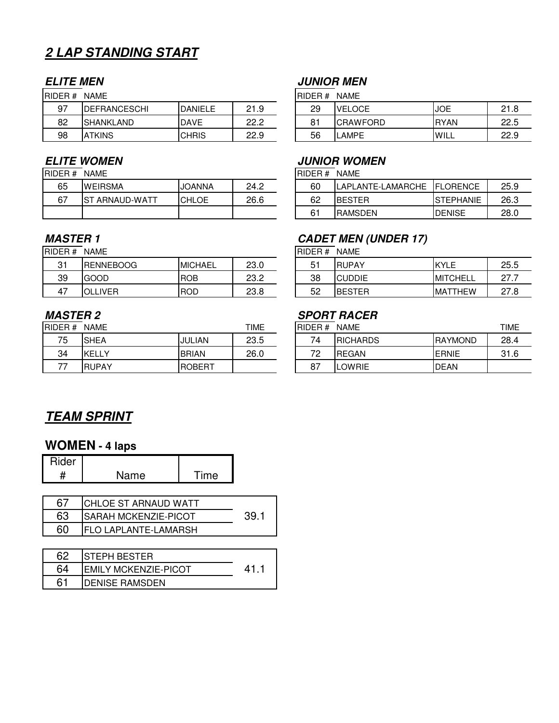# **2 LAP STANDING START**

| 97 | <b>IDEFRANCESCHI</b> | DANIFI F     | 21.9 |
|----|----------------------|--------------|------|
| 82 | <b>ISHANKLAND</b>    | <b>DAVE</b>  | 22 2 |
| 98 | <b>ATKINS</b>        | <b>CHRIS</b> | 22.9 |

| RIDER # NAME |                 |               |      |
|--------------|-----------------|---------------|------|
| 65           | <b>WEIRSMA</b>  | <b>JOANNA</b> | 24.2 |
| 67           | IST ARNAUD-WATT | ICHI OF       | 26.6 |
|              |                 |               |      |

RIDER # NAME **RIDER # NAME** 

| 31 | <b>RENNEBOOG</b> | <b>MICHAEL</b> | 23.0 |
|----|------------------|----------------|------|
| 39 | GOOD             | <b>ROB</b>     | 23.2 |
| 47 | OLLIVER          |                | 23.8 |

| RIDER#<br>TIME<br><b>NAME</b> |               |                | RIDER# | <b>NAME</b>    | TIME             |                 |      |
|-------------------------------|---------------|----------------|--------|----------------|------------------|-----------------|------|
| 75                            | <b>SHEA</b>   | JULIAN         | 23.5   | 74             | <b>IRICHARDS</b> | <b>IRAYMOND</b> | 28.4 |
| 34                            | <b>IKELLY</b> | <b>BRIAN</b>   | 26.0   | 70<br><u>_</u> | <b>IREGAN</b>    | <b>IERNIE</b>   | 31.6 |
|                               | <b>RUPAY</b>  | <b>IROBERT</b> |        | $\circ$<br>О.  | LOWRIE           | <b>IDEAN</b>    |      |

## **ELITE MEN JUNIOR MEN**

RIDER # NAME RIDER # NAME

| 97 | <b>IDEFRANCESCHI</b> | <b>DANIELE</b> | ົາ ເ<br>ن ا | 29                  | <b>VELOCE</b>   | <b>JOE</b>  | $^{\circ}$<br>ـ |
|----|----------------------|----------------|-------------|---------------------|-----------------|-------------|-----------------|
| 82 | <b>ISHANKLAND</b>    | <b>DAVE</b>    | ממ<br>__._  | O <sub>1</sub><br>o | <b>CRAWFORD</b> | <b>RYAN</b> | 22.5            |
| 98 | `TKINS<br>IΑ         | <b>CHRIS</b>   | 22.9        | 56                  | <b>AMPE</b>     | <b>WILL</b> | 22.9            |

### **ELITE WOMEN JUNIOR WOMEN**

 $RIDER # NAME$ 

| 65 | <b>WEIRSMA</b>      | <b>JOANNA</b> | 24.2 | 60 | _AMARCHE<br>LAPLANTE-L | <b>IFLORENCE</b>  | 25.9 |
|----|---------------------|---------------|------|----|------------------------|-------------------|------|
| 67 | IST<br>`ARNAUD-WATT | <b>CHLOE</b>  | 26.6 | 62 | IBESTER                | <b>ISTEPHANIE</b> | 26.3 |
|    |                     |               |      | 61 | <b>RAMSDEN</b>         | <b>DENISE</b>     | 28.0 |

### **MASTER 1 CADET MEN (UNDER 17)**

| 31 | <b>RENNEBOOG</b>         | <b>MICHAEL</b> | ר מ<br>∠o.∪  | ၁. | <b>RUPAY</b>  | KYL<br>---                | 25.5                   |
|----|--------------------------|----------------|--------------|----|---------------|---------------------------|------------------------|
| 39 | GOOD                     | <b>ROB</b>     | פ מ<br>ے.ں   | 38 | <b>CUDDIE</b> | <b>MITCHELL</b>           | ~7<br><u>.</u>         |
| 47 | <b>IVER</b><br>n  <br>-- | <b>ROD</b>     | ററ ഠ<br>ہ.ت∠ | 52 | <b>BESTER</b> | TTHEW<br>IMA <sup>-</sup> | 77<br>റ<br>-<br>0. ، ے |

## **MASTER 2 SPORT RACER**

| ER# | <b>NAME</b>  |               | TIME | RIDER# | <b>NAME</b>      |                 | TIME |
|-----|--------------|---------------|------|--------|------------------|-----------------|------|
| 75  | <b>SHEA</b>  | JULIAN        | 23.5 | 74     | <b>IRICHARDS</b> | <b>IRAYMOND</b> | 28.4 |
| 34  | KELLY        | <b>BRIAN</b>  | 26.0 | 70     | <b>REGAN</b>     | <b>ERNIE</b>    | 31.6 |
| 77  | <b>RUPAY</b> | <b>ROBERT</b> |      | 87     | LOWRIE           | <b>DEAN</b>     |      |

## **TEAM SPRINT**

## **WOMEN - 4 laps**

| ider |      |         |  |
|------|------|---------|--|
|      | Name | $T$ ime |  |

|    | <b>CHLOE ST ARNAUD WATT</b> |  |
|----|-----------------------------|--|
| 63 | <b>SARAH MCKENZIE-PICOT</b> |  |
|    | <b>FLO LAPLANTE-LAMARSH</b> |  |

| 62 | ISTEPH BESTER          |      |
|----|------------------------|------|
|    | IEMILY MCKENZIE-PICOT  | A 1. |
|    | <b>IDENISE RAMSDEN</b> |      |